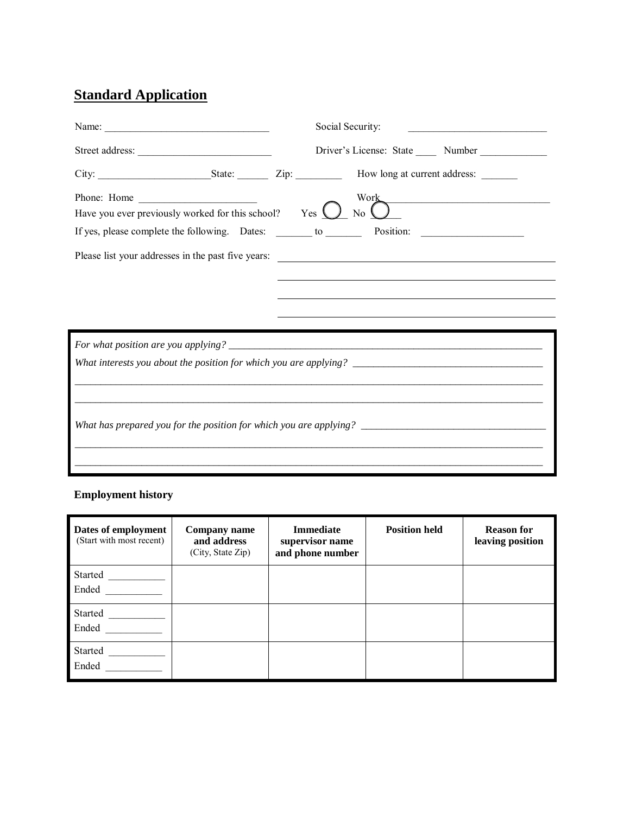# **Standard Application**

|                                                                               | Social Security:<br><u> 1989 - Johann Barbara, martin amerikan basal dan berasal dan berasal dalam basal dan berasal dan berasal dan</u> |  |  |  |  |
|-------------------------------------------------------------------------------|------------------------------------------------------------------------------------------------------------------------------------------|--|--|--|--|
|                                                                               |                                                                                                                                          |  |  |  |  |
|                                                                               |                                                                                                                                          |  |  |  |  |
| Have you ever previously worked for this school? Yes $\bigcirc$ No $\bigcirc$ | Work                                                                                                                                     |  |  |  |  |
|                                                                               |                                                                                                                                          |  |  |  |  |
|                                                                               |                                                                                                                                          |  |  |  |  |
|                                                                               |                                                                                                                                          |  |  |  |  |
|                                                                               |                                                                                                                                          |  |  |  |  |
|                                                                               |                                                                                                                                          |  |  |  |  |
|                                                                               |                                                                                                                                          |  |  |  |  |
|                                                                               |                                                                                                                                          |  |  |  |  |

## **Employment history**

| Dates of employment<br>(Start with most recent) | <b>Company name</b><br>and address<br>(City, State Zip) | <b>Immediate</b><br>supervisor name<br>and phone number | <b>Position held</b> | <b>Reason for</b><br>leaving position |
|-------------------------------------------------|---------------------------------------------------------|---------------------------------------------------------|----------------------|---------------------------------------|
| Started<br>Ended                                |                                                         |                                                         |                      |                                       |
| Started<br>Ended                                |                                                         |                                                         |                      |                                       |
| Started<br>Ended                                |                                                         |                                                         |                      |                                       |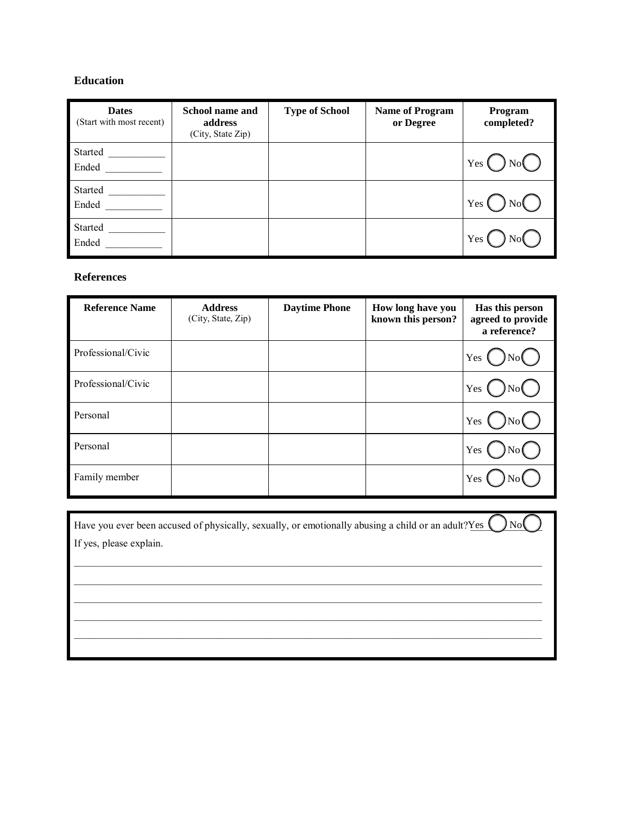### **Education**

| <b>Dates</b><br>(Start with most recent) | <b>School name and</b><br>address<br>(City, State Zip) | <b>Type of School</b> | <b>Name of Program</b><br>or Degree | Program<br>completed? |
|------------------------------------------|--------------------------------------------------------|-----------------------|-------------------------------------|-----------------------|
| Started<br>Ended                         |                                                        |                       |                                     | Yes                   |
| Started<br>Ended                         |                                                        |                       |                                     | Yes                   |
| Started<br>Ended                         |                                                        |                       |                                     | Yes                   |

#### **References**

| <b>Reference Name</b> | <b>Address</b><br>(City, State, Zip) | <b>Daytime Phone</b> | How long have you<br>known this person? | Has this person<br>agreed to provide<br>a reference? |
|-----------------------|--------------------------------------|----------------------|-----------------------------------------|------------------------------------------------------|
| Professional/Civic    |                                      |                      |                                         | Yes                                                  |
| Professional/Civic    |                                      |                      |                                         | Yes                                                  |
| Personal              |                                      |                      |                                         | Yes                                                  |
| Personal              |                                      |                      |                                         | Yes                                                  |
| Family member         |                                      |                      |                                         | Yes                                                  |

| Have you ever been accused of physically, sexually, or emotionally abusing a child or an adult? Yes $\langle \rangle$ |
|-----------------------------------------------------------------------------------------------------------------------|
| If yes, please explain.                                                                                               |
|                                                                                                                       |
|                                                                                                                       |
|                                                                                                                       |
|                                                                                                                       |
|                                                                                                                       |
|                                                                                                                       |